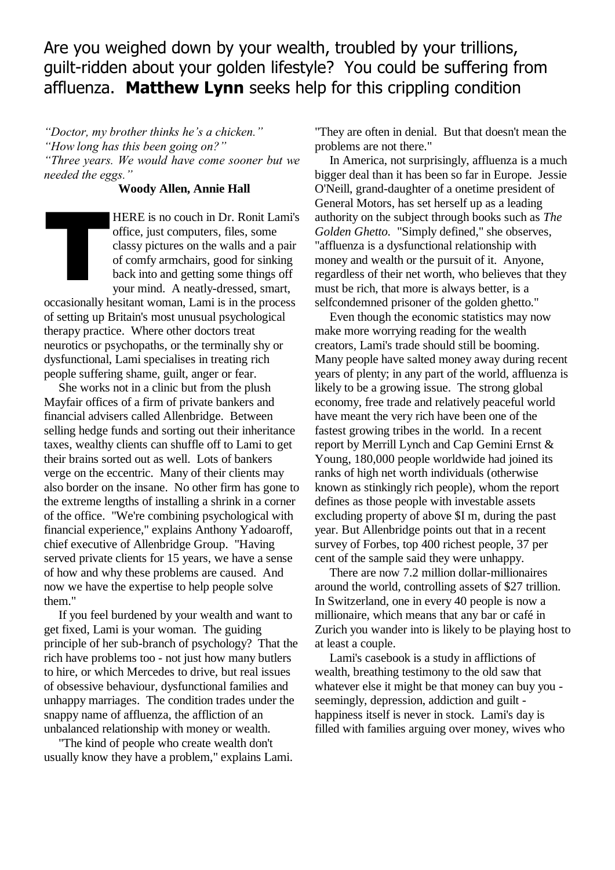Are you weighed down by your wealth, troubled by your trillions, guilt-ridden about your golden lifestyle? You could be suffering from affluenza. **Matthew Lynn** seeks help for this crippling condition

*"Doctor, my brother thinks he's a chicken."*

*"How long has this been going on?"*

*"Three years. We would have come sooner but we needed the eggs."*

## **Woody Allen, Annie Hall**

HERE is no couch in Dr. Ronit Lami's office, just computers, files, some classy pictures on the walls and a pair of comfy armchairs, good for sinking back into and getting some things off your mind. A neatly-dressed, smart, T

occasionally hesitant woman, Lami is in the process of setting up Britain's most unusual psychological therapy practice. Where other doctors treat neurotics or psychopaths, or the terminally shy or dysfunctional, Lami specialises in treating rich people suffering shame, guilt, anger or fear.

She works not in a clinic but from the plush Mayfair offices of a firm of private bankers and financial advisers called Allenbridge. Between selling hedge funds and sorting out their inheritance taxes, wealthy clients can shuffle off to Lami to get their brains sorted out as well. Lots of bankers verge on the eccentric. Many of their clients may also border on the insane. No other firm has gone to the extreme lengths of installing a shrink in a corner of the office. "We're combining psychological with financial experience," explains Anthony Yadoaroff, chief executive of Allenbridge Group. "Having served private clients for 15 years, we have a sense of how and why these problems are caused. And now we have the expertise to help people solve them."

If you feel burdened by your wealth and want to get fixed, Lami is your woman. The guiding principle of her sub-branch of psychology? That the rich have problems too - not just how many butlers to hire, or which Mercedes to drive, but real issues of obsessive behaviour, dysfunctional families and unhappy marriages. The condition trades under the snappy name of affluenza, the affliction of an unbalanced relationship with money or wealth.

"The kind of people who create wealth don't usually know they have a problem," explains Lami. "They are often in denial. But that doesn't mean the problems are not there."

In America, not surprisingly, affluenza is a much bigger deal than it has been so far in Europe. Jessie O'Neill, grand-daughter of a onetime president of General Motors, has set herself up as a leading authority on the subject through books such as *The Golden Ghetto.* "Simply defined," she observes, "affluenza is a dysfunctional relationship with money and wealth or the pursuit of it. Anyone, regardless of their net worth, who believes that they must be rich, that more is always better, is a selfcondemned prisoner of the golden ghetto."

Even though the economic statistics may now make more worrying reading for the wealth creators, Lami's trade should still be booming. Many people have salted money away during recent years of plenty; in any part of the world, affluenza is likely to be a growing issue. The strong global economy, free trade and relatively peaceful world have meant the very rich have been one of the fastest growing tribes in the world. In a recent report by Merrill Lynch and Cap Gemini Ernst & Young, 180,000 people worldwide had joined its ranks of high net worth individuals (otherwise known as stinkingly rich people), whom the report defines as those people with investable assets excluding property of above \$I m, during the past year. But Allenbridge points out that in a recent survey of Forbes, top 400 richest people, 37 per cent of the sample said they were unhappy.

There are now 7.2 million dollar-millionaires around the world, controlling assets of \$27 trillion. In Switzerland, one in every 40 people is now a millionaire, which means that any bar or café in Zurich you wander into is likely to be playing host to at least a couple.

Lami's casebook is a study in afflictions of wealth, breathing testimony to the old saw that whatever else it might be that money can buy you seemingly, depression, addiction and guilt happiness itself is never in stock. Lami's day is filled with families arguing over money, wives who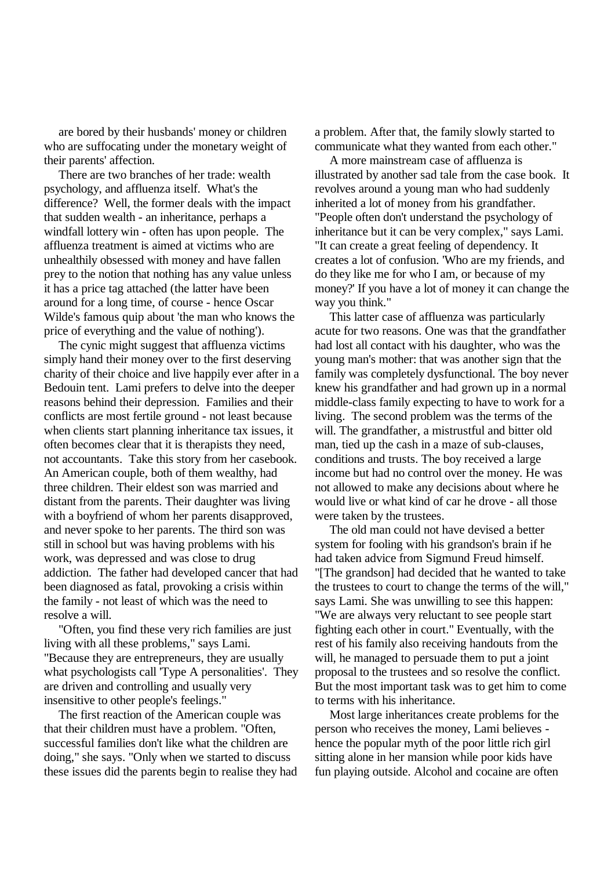are bored by their husbands' money or children who are suffocating under the monetary weight of their parents' affection.

There are two branches of her trade: wealth psychology, and affluenza itself. What's the difference? Well, the former deals with the impact that sudden wealth - an inheritance, perhaps a windfall lottery win - often has upon people. The affluenza treatment is aimed at victims who are unhealthily obsessed with money and have fallen prey to the notion that nothing has any value unless it has a price tag attached (the latter have been around for a long time, of course - hence Oscar Wilde's famous quip about 'the man who knows the price of everything and the value of nothing').

The cynic might suggest that affluenza victims simply hand their money over to the first deserving charity of their choice and live happily ever after in a Bedouin tent. Lami prefers to delve into the deeper reasons behind their depression. Families and their conflicts are most fertile ground - not least because when clients start planning inheritance tax issues, it often becomes clear that it is therapists they need, not accountants. Take this story from her casebook. An American couple, both of them wealthy, had three children. Their eldest son was married and distant from the parents. Their daughter was living with a boyfriend of whom her parents disapproved, and never spoke to her parents. The third son was still in school but was having problems with his work, was depressed and was close to drug addiction. The father had developed cancer that had been diagnosed as fatal, provoking a crisis within the family - not least of which was the need to resolve a will.

"Often, you find these very rich families are just living with all these problems," says Lami. "Because they are entrepreneurs, they are usually what psychologists call 'Type A personalities'. They are driven and controlling and usually very insensitive to other people's feelings."

The first reaction of the American couple was that their children must have a problem. "Often, successful families don't like what the children are doing," she says. "Only when we started to discuss these issues did the parents begin to realise they had a problem. After that, the family slowly started to communicate what they wanted from each other."

A more mainstream case of affluenza is illustrated by another sad tale from the case book. It revolves around a young man who had suddenly inherited a lot of money from his grandfather. "People often don't understand the psychology of inheritance but it can be very complex," says Lami. "It can create a great feeling of dependency. It creates a lot of confusion. 'Who are my friends, and do they like me for who I am, or because of my money?' If you have a lot of money it can change the way you think."

This latter case of affluenza was particularly acute for two reasons. One was that the grandfather had lost all contact with his daughter, who was the young man's mother: that was another sign that the family was completely dysfunctional. The boy never knew his grandfather and had grown up in a normal middle-class family expecting to have to work for a living. The second problem was the terms of the will. The grandfather, a mistrustful and bitter old man, tied up the cash in a maze of sub-clauses, conditions and trusts. The boy received a large income but had no control over the money. He was not allowed to make any decisions about where he would live or what kind of car he drove - all those were taken by the trustees.

The old man could not have devised a better system for fooling with his grandson's brain if he had taken advice from Sigmund Freud himself. "[The grandson] had decided that he wanted to take the trustees to court to change the terms of the will," says Lami. She was unwilling to see this happen: "We are always very reluctant to see people start fighting each other in court." Eventually, with the rest of his family also receiving handouts from the will, he managed to persuade them to put a joint proposal to the trustees and so resolve the conflict. But the most important task was to get him to come to terms with his inheritance.

Most large inheritances create problems for the person who receives the money, Lami believes hence the popular myth of the poor little rich girl sitting alone in her mansion while poor kids have fun playing outside. Alcohol and cocaine are often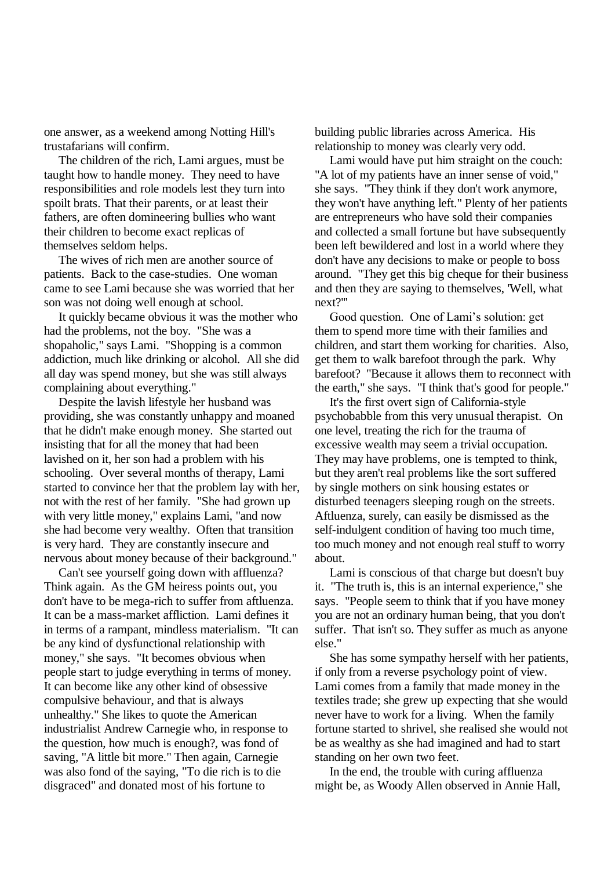one answer, as a weekend among Notting Hill's trustafarians will confirm.

The children of the rich, Lami argues, must be taught how to handle money. They need to have responsibilities and role models lest they turn into spoilt brats. That their parents, or at least their fathers, are often domineering bullies who want their children to become exact replicas of themselves seldom helps.

The wives of rich men are another source of patients. Back to the case-studies. One woman came to see Lami because she was worried that her son was not doing well enough at school.

It quickly became obvious it was the mother who had the problems, not the boy. "She was a shopaholic," says Lami. "Shopping is a common addiction, much like drinking or alcohol. All she did all day was spend money, but she was still always complaining about everything."

Despite the lavish lifestyle her husband was providing, she was constantly unhappy and moaned that he didn't make enough money. She started out insisting that for all the money that had been lavished on it, her son had a problem with his schooling. Over several months of therapy, Lami started to convince her that the problem lay with her, not with the rest of her family. "She had grown up with very little money," explains Lami, "and now she had become very wealthy. Often that transition is very hard. They are constantly insecure and nervous about money because of their background."

Can't see yourself going down with affluenza? Think again. As the GM heiress points out, you don't have to be mega-rich to suffer from aftluenza. It can be a mass-market affliction. Lami defines it in terms of a rampant, mindless materialism. "It can be any kind of dysfunctional relationship with money," she says. "It becomes obvious when people start to judge everything in terms of money. It can become like any other kind of obsessive compulsive behaviour, and that is always unhealthy." She likes to quote the American industrialist Andrew Carnegie who, in response to the question, how much is enough?, was fond of saving, "A little bit more." Then again, Carnegie was also fond of the saying, "To die rich is to die disgraced" and donated most of his fortune to

building public libraries across America. His relationship to money was clearly very odd.

Lami would have put him straight on the couch: "A lot of my patients have an inner sense of void," she says. "They think if they don't work anymore, they won't have anything left." Plenty of her patients are entrepreneurs who have sold their companies and collected a small fortune but have subsequently been left bewildered and lost in a world where they don't have any decisions to make or people to boss around. "They get this big cheque for their business and then they are saying to themselves, 'Well, what next?"'

Good question. One of Lami's solution: get them to spend more time with their families and children, and start them working for charities. Also, get them to walk barefoot through the park. Why barefoot? "Because it allows them to reconnect with the earth," she says. "I think that's good for people."

It's the first overt sign of California-style psychobabble from this very unusual therapist. On one level, treating the rich for the trauma of excessive wealth may seem a trivial occupation. They may have problems, one is tempted to think, but they aren't real problems like the sort suffered by single mothers on sink housing estates or disturbed teenagers sleeping rough on the streets. Aftluenza, surely, can easily be dismissed as the self-indulgent condition of having too much time, too much money and not enough real stuff to worry about.

Lami is conscious of that charge but doesn't buy it. "The truth is, this is an internal experience," she says. "People seem to think that if you have money you are not an ordinary human being, that you don't suffer. That isn't so. They suffer as much as anyone else."

She has some sympathy herself with her patients, if only from a reverse psychology point of view. Lami comes from a family that made money in the textiles trade; she grew up expecting that she would never have to work for a living. When the family fortune started to shrivel, she realised she would not be as wealthy as she had imagined and had to start standing on her own two feet.

In the end, the trouble with curing affluenza might be, as Woody Allen observed in Annie Hall,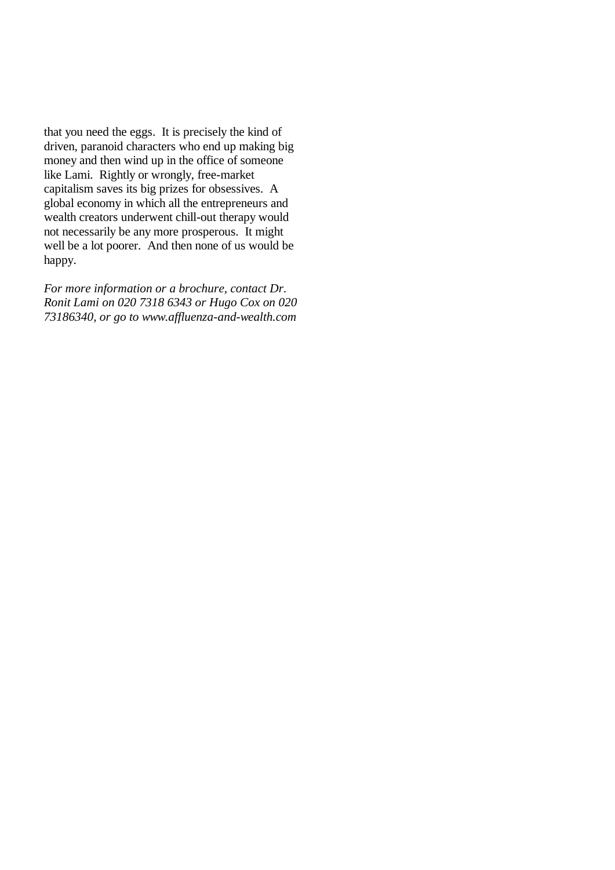that you need the eggs. It is precisely the kind of driven, paranoid characters who end up making big money and then wind up in the office of someone like Lami. Rightly or wrongly, free-market capitalism saves its big prizes for obsessives. A global economy in which all the entrepreneurs and wealth creators underwent chill-out therapy would not necessarily be any more prosperous. It might well be a lot poorer. And then none of us would be happy.

*For more information or a brochure, contact Dr. Ronit Lami on 020 7318 6343 or Hugo Cox on 020 73186340, or go to www.affluenza-and-wealth.com*